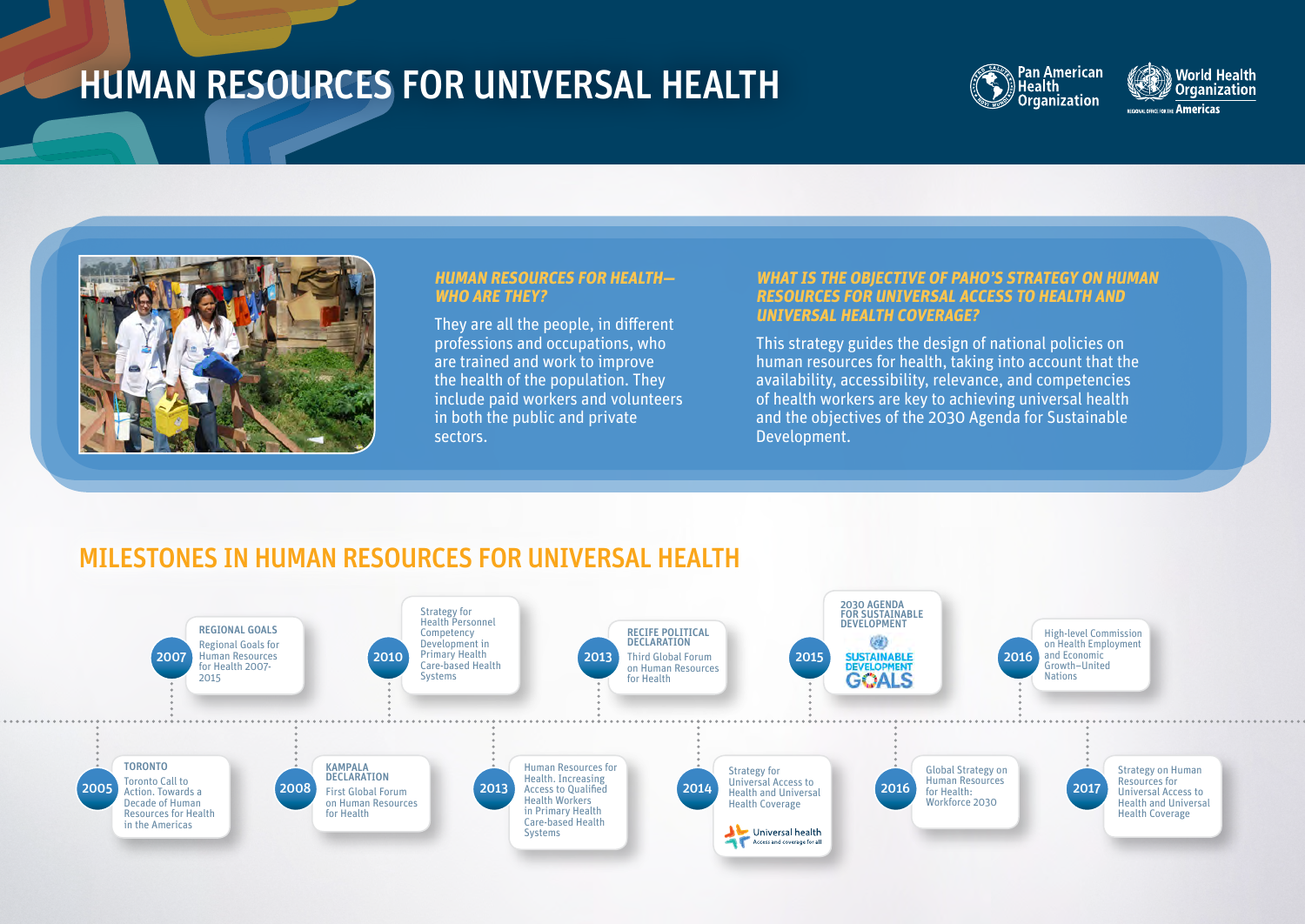## HUMAN RESOURCES FOR UNIVERSAL HEALTH



**World Health Organization Americas** 



## **HUMAN RESOURCES FOR HEALTH— WHO ARE THEY?**

They are all the people, in different professions and occupations, who are trained and work to improve the health of the population. They include paid workers and volunteers in both the public and private sectors.

## **WHAT IS THE OBJECTIVE OF PAHO'S STRATEGY ON HUMAN RESOURCES FOR UNIVERSAL ACCESS TO HEALTH AND UNIVERSAL HEALTH COVERAGE?**

This strategy guides the design of national policies on human resources for health, taking into account that the availability, accessibility, relevance, and competencies of health workers are key to achieving universal health and the objectives of the 2030 Agenda for Sustainable Development.

## MILESTONES IN HUMAN RESOURCES FOR UNIVERSAL HEALTH